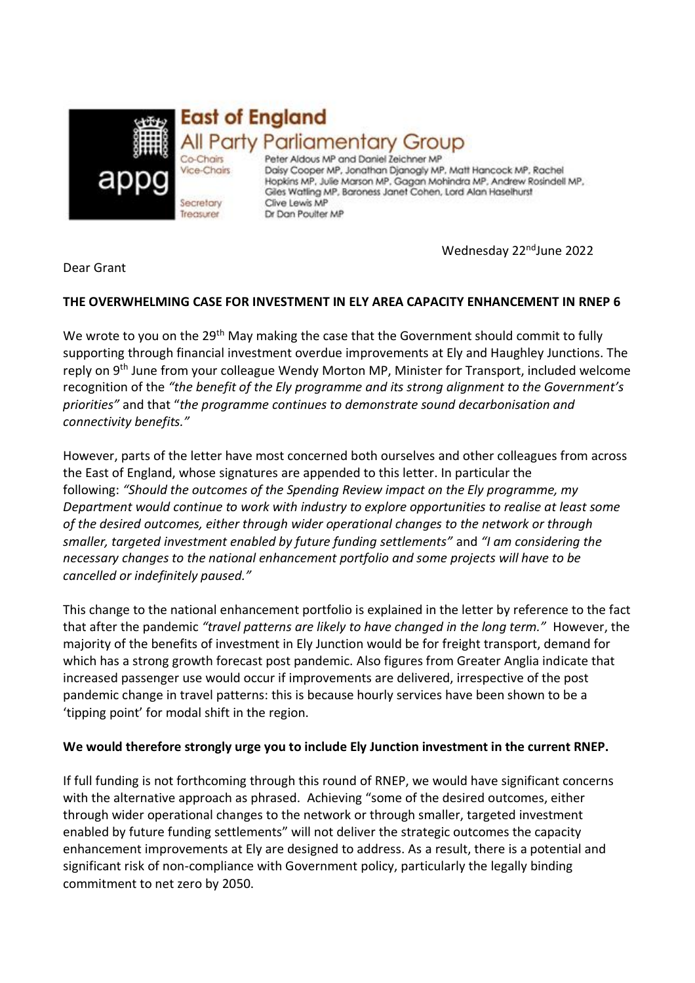

Peter Aldous MP and Daniel Zeichner MP Daisy Cooper MP, Jonathan Djanogly MP, Matt Hancock MP, Rachel Hopkins MP, Julie Marson MP, Gagan Mohindra MP, Andrew Rosindell MP, Giles Watling MP, Baroness Janet Cohen, Lord Alan Haselhurst Clive Lewis MP Dr Dan Poulter MP

Wednesday 22<sup>nd</sup>June 2022

Dear Grant

# **THE OVERWHELMING CASE FOR INVESTMENT IN ELY AREA CAPACITY ENHANCEMENT IN RNEP 6**

We wrote to you on the 29<sup>th</sup> May making the case that the Government should commit to fully supporting through financial investment overdue improvements at Ely and Haughley Junctions. The reply on 9<sup>th</sup> June from your colleague Wendy Morton MP, Minister for Transport, included welcome recognition of the *"the benefit of the Ely programme and its strong alignment to the Government's priorities"* and that "*the programme continues to demonstrate sound decarbonisation and connectivity benefits."*

However, parts of the letter have most concerned both ourselves and other colleagues from across the East of England, whose signatures are appended to this letter. In particular the following: *"Should the outcomes of the Spending Review impact on the Ely programme, my Department would continue to work with industry to explore opportunities to realise at least some of the desired outcomes, either through wider operational changes to the network or through smaller, targeted investment enabled by future funding settlements"* and *"I am considering the necessary changes to the national enhancement portfolio and some projects will have to be cancelled or indefinitely paused."*

This change to the national enhancement portfolio is explained in the letter by reference to the fact that after the pandemic *"travel patterns are likely to have changed in the long term."* However, the majority of the benefits of investment in Ely Junction would be for freight transport, demand for which has a strong growth forecast post pandemic. Also figures from Greater Anglia indicate that increased passenger use would occur if improvements are delivered, irrespective of the post pandemic change in travel patterns: this is because hourly services have been shown to be a 'tipping point' for modal shift in the region.

## **We would therefore strongly urge you to include Ely Junction investment in the current RNEP.**

If full funding is not forthcoming through this round of RNEP, we would have significant concerns with the alternative approach as phrased. Achieving "some of the desired outcomes, either through wider operational changes to the network or through smaller, targeted investment enabled by future funding settlements" will not deliver the strategic outcomes the capacity enhancement improvements at Ely are designed to address. As a result, there is a potential and significant risk of non-compliance with Government policy, particularly the legally binding commitment to net zero by 2050.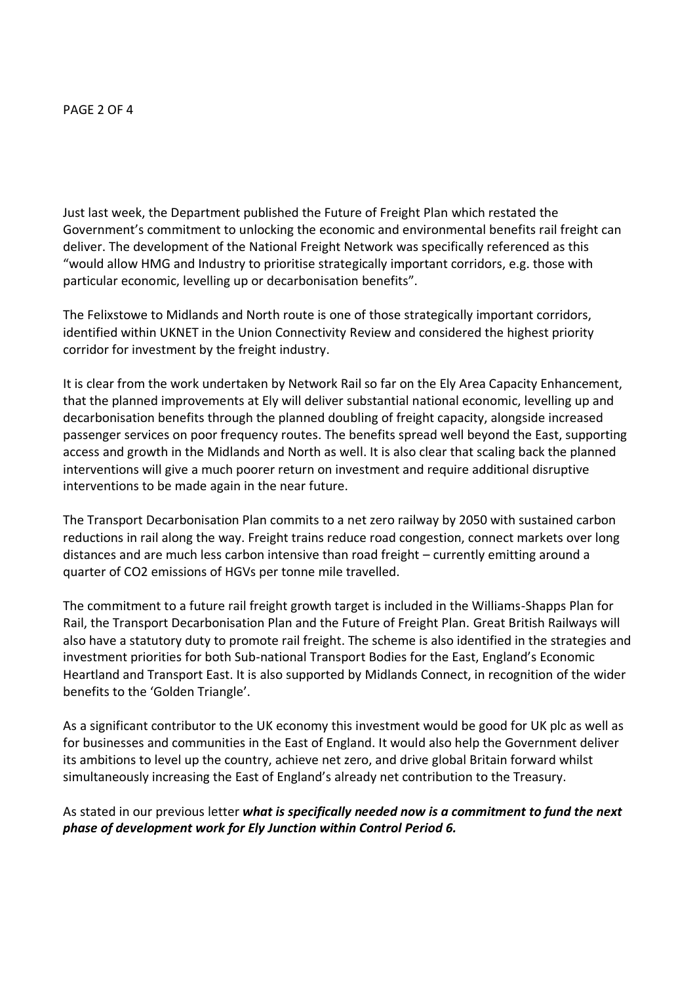### PAGE 2 OF 4

Just last week, the Department published the Future of Freight Plan which restated the Government's commitment to unlocking the economic and environmental benefits rail freight can deliver. The development of the National Freight Network was specifically referenced as this "would allow HMG and Industry to prioritise strategically important corridors, e.g. those with particular economic, levelling up or decarbonisation benefits".

The Felixstowe to Midlands and North route is one of those strategically important corridors, identified within UKNET in the Union Connectivity Review and considered the highest priority corridor for investment by the freight industry.

It is clear from the work undertaken by Network Rail so far on the Ely Area Capacity Enhancement, that the planned improvements at Ely will deliver substantial national economic, levelling up and decarbonisation benefits through the planned doubling of freight capacity, alongside increased passenger services on poor frequency routes. The benefits spread well beyond the East, supporting access and growth in the Midlands and North as well. It is also clear that scaling back the planned interventions will give a much poorer return on investment and require additional disruptive interventions to be made again in the near future.

The Transport Decarbonisation Plan commits to a net zero railway by 2050 with sustained carbon reductions in rail along the way. Freight trains reduce road congestion, connect markets over long distances and are much less carbon intensive than road freight – currently emitting around a quarter of CO2 emissions of HGVs per tonne mile travelled.

The commitment to a future rail freight growth target is included in the Williams-Shapps Plan for Rail, the Transport Decarbonisation Plan and the Future of Freight Plan. Great British Railways will also have a statutory duty to promote rail freight. The scheme is also identified in the strategies and investment priorities for both Sub-national Transport Bodies for the East, England's Economic Heartland and Transport East. It is also supported by Midlands Connect, in recognition of the wider benefits to the 'Golden Triangle'.

As a significant contributor to the UK economy this investment would be good for UK plc as well as for businesses and communities in the East of England. It would also help the Government deliver its ambitions to level up the country, achieve net zero, and drive global Britain forward whilst simultaneously increasing the East of England's already net contribution to the Treasury.

As stated in our previous letter *what is specifically needed now is a commitment to fund the next phase of development work for Ely Junction within Control Period 6.*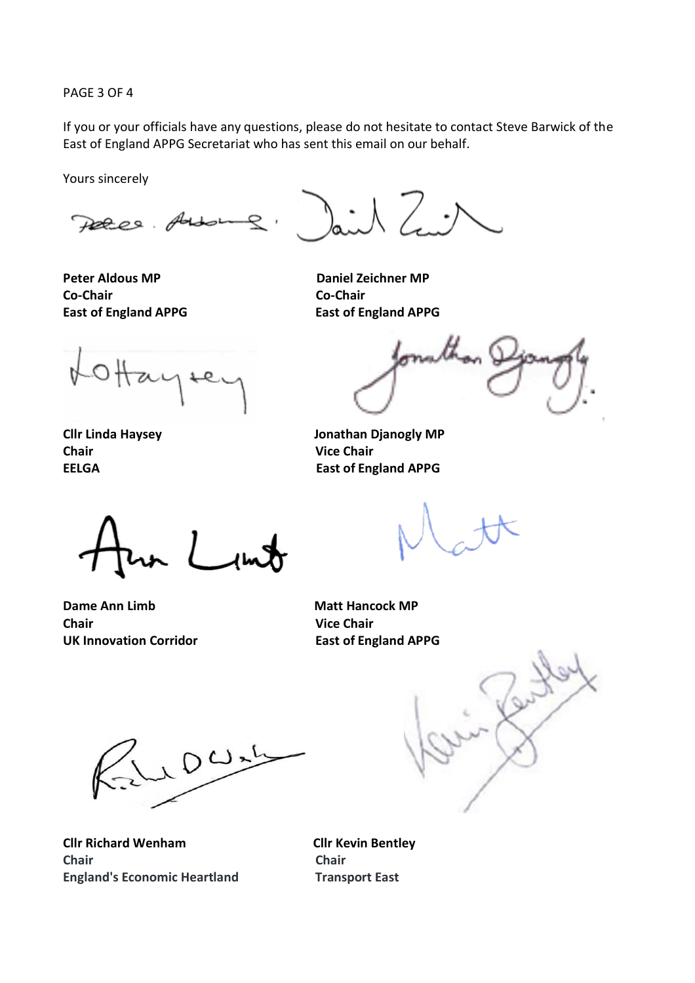PAGE 3 OF 4

If you or your officials have any questions, please do not hesitate to contact Steve Barwick of the East of England APPG Secretariat who has sent this email on our behalf.

Yours sincerely

Peter Addo

**Peter Aldous MP Daniel Zeichner MP Co-Chair Co-Chair East of England APPG East of England APPG** 

**Chair Vice Chair** 

**Cllr Linda Haysey Jonathan Djanogly MP EELGA** EAST OF EAST OF EAST OF ENGINEERING

**Dame Ann Limb Matt Hancock MP Chair Vice Chair** UK Innovation Corridor **East of England APPG** 

10 Wal

**Cllr Richard Wenham Cllr Kevin Bentley Chair Chair England's Economic Heartland Transport East**